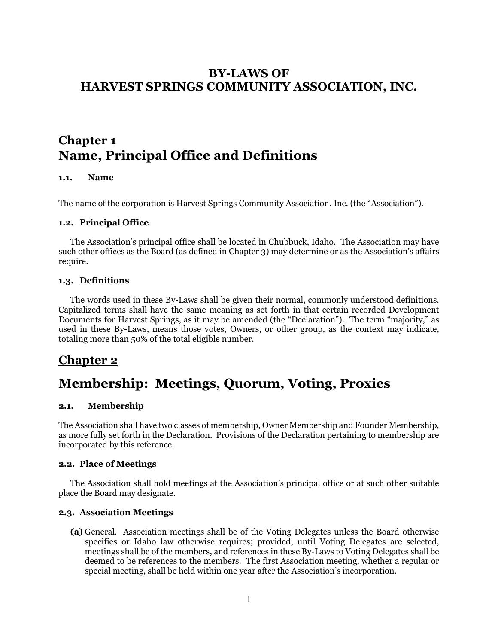# **BY-LAWS OF HARVEST SPRINGS COMMUNITY ASSOCIATION, INC.**

# **Chapter 1 Name, Principal Office and Definitions**

### **1.1. Name**

The name of the corporation is Harvest Springs Community Association, Inc. (the "Association").

#### **1.2. Principal Office**

The Association's principal office shall be located in Chubbuck, Idaho. The Association may have such other offices as the Board (as defined in Chapter 3) may determine or as the Association's affairs require.

#### **1.3. Definitions**

The words used in these By-Laws shall be given their normal, commonly understood definitions. Capitalized terms shall have the same meaning as set forth in that certain recorded Development Documents for Harvest Springs, as it may be amended (the "Declaration"). The term "majority," as used in these By-Laws, means those votes, Owners, or other group, as the context may indicate, totaling more than 50% of the total eligible number.

# **Chapter 2**

# **Membership: Meetings, Quorum, Voting, Proxies**

#### **2.1. Membership**

The Association shall have two classes of membership, Owner Membership and Founder Membership, as more fully set forth in the Declaration. Provisions of the Declaration pertaining to membership are incorporated by this reference.

#### **2.2. Place of Meetings**

The Association shall hold meetings at the Association's principal office or at such other suitable place the Board may designate.

#### **2.3. Association Meetings**

**(a)** General. Association meetings shall be of the Voting Delegates unless the Board otherwise specifies or Idaho law otherwise requires; provided, until Voting Delegates are selected, meetings shall be of the members, and references in these By-Laws to Voting Delegates shall be deemed to be references to the members. The first Association meeting, whether a regular or special meeting, shall be held within one year after the Association's incorporation.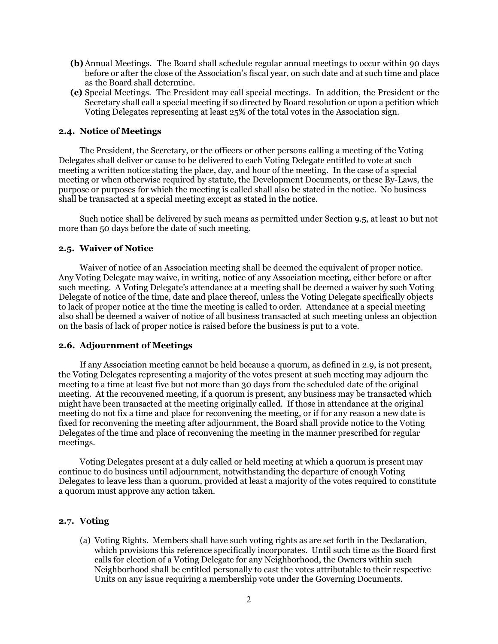- **(b)**Annual Meetings. The Board shall schedule regular annual meetings to occur within 90 days before or after the close of the Association's fiscal year, on such date and at such time and place as the Board shall determine.
- **(c)** Special Meetings. The President may call special meetings. In addition, the President or the Secretary shall call a special meeting if so directed by Board resolution or upon a petition which Voting Delegates representing at least 25% of the total votes in the Association sign.

#### **2.4. Notice of Meetings**

The President, the Secretary, or the officers or other persons calling a meeting of the Voting Delegates shall deliver or cause to be delivered to each Voting Delegate entitled to vote at such meeting a written notice stating the place, day, and hour of the meeting. In the case of a special meeting or when otherwise required by statute, the Development Documents, or these By-Laws, the purpose or purposes for which the meeting is called shall also be stated in the notice. No business shall be transacted at a special meeting except as stated in the notice.

 Such notice shall be delivered by such means as permitted under Section 9.5, at least 10 but not more than 50 days before the date of such meeting.

#### **2.5. Waiver of Notice**

 Waiver of notice of an Association meeting shall be deemed the equivalent of proper notice. Any Voting Delegate may waive, in writing, notice of any Association meeting, either before or after such meeting. A Voting Delegate's attendance at a meeting shall be deemed a waiver by such Voting Delegate of notice of the time, date and place thereof, unless the Voting Delegate specifically objects to lack of proper notice at the time the meeting is called to order. Attendance at a special meeting also shall be deemed a waiver of notice of all business transacted at such meeting unless an objection on the basis of lack of proper notice is raised before the business is put to a vote.

#### **2.6. Adjournment of Meetings**

 If any Association meeting cannot be held because a quorum, as defined in 2.9, is not present, the Voting Delegates representing a majority of the votes present at such meeting may adjourn the meeting to a time at least five but not more than 30 days from the scheduled date of the original meeting. At the reconvened meeting, if a quorum is present, any business may be transacted which might have been transacted at the meeting originally called. If those in attendance at the original meeting do not fix a time and place for reconvening the meeting, or if for any reason a new date is fixed for reconvening the meeting after adjournment, the Board shall provide notice to the Voting Delegates of the time and place of reconvening the meeting in the manner prescribed for regular meetings.

 Voting Delegates present at a duly called or held meeting at which a quorum is present may continue to do business until adjournment, notwithstanding the departure of enough Voting Delegates to leave less than a quorum, provided at least a majority of the votes required to constitute a quorum must approve any action taken.

### **2.7. Voting**

(a) Voting Rights. Members shall have such voting rights as are set forth in the Declaration, which provisions this reference specifically incorporates. Until such time as the Board first calls for election of a Voting Delegate for any Neighborhood, the Owners within such Neighborhood shall be entitled personally to cast the votes attributable to their respective Units on any issue requiring a membership vote under the Governing Documents.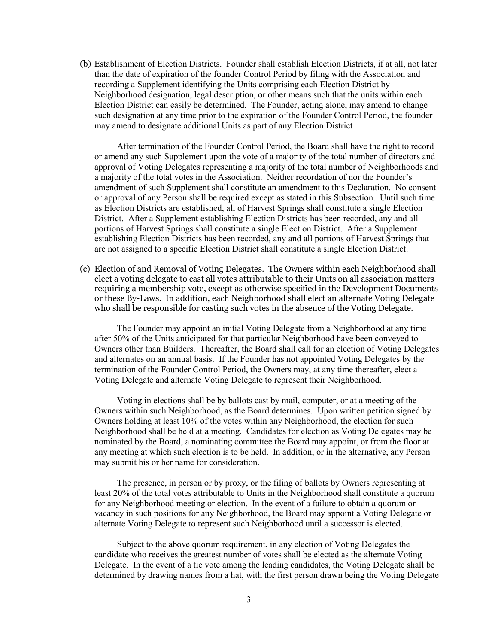(b) Establishment of Election Districts. Founder shall establish Election Districts, if at all, not later than the date of expiration of the founder Control Period by filing with the Association and recording a Supplement identifying the Units comprising each Election District by Neighborhood designation, legal description, or other means such that the units within each Election District can easily be determined. The Founder, acting alone, may amend to change such designation at any time prior to the expiration of the Founder Control Period, the founder may amend to designate additional Units as part of any Election District

 After termination of the Founder Control Period, the Board shall have the right to record or amend any such Supplement upon the vote of a majority of the total number of directors and approval of Voting Delegates representing a majority of the total number of Neighborhoods and a majority of the total votes in the Association. Neither recordation of nor the Founder's amendment of such Supplement shall constitute an amendment to this Declaration. No consent or approval of any Person shall be required except as stated in this Subsection. Until such time as Election Districts are established, all of Harvest Springs shall constitute a single Election District. After a Supplement establishing Election Districts has been recorded, any and all portions of Harvest Springs shall constitute a single Election District. After a Supplement establishing Election Districts has been recorded, any and all portions of Harvest Springs that are not assigned to a specific Election District shall constitute a single Election District.

(c) Election of and Removal of Voting Delegates. The Owners within each Neighborhood shall elect a voting delegate to cast all votes attributable to their Units on all association matters requiring a membership vote, except as otherwise specified in the Development Documents or these By-Laws. In addition, each Neighborhood shall elect an alternate Voting Delegate who shall be responsible for casting such votes in the absence of the Voting Delegate.

 The Founder may appoint an initial Voting Delegate from a Neighborhood at any time after 50% of the Units anticipated for that particular Neighborhood have been conveyed to Owners other than Builders. Thereafter, the Board shall call for an election of Voting Delegates and alternates on an annual basis. If the Founder has not appointed Voting Delegates by the termination of the Founder Control Period, the Owners may, at any time thereafter, elect a Voting Delegate and alternate Voting Delegate to represent their Neighborhood.

 Voting in elections shall be by ballots cast by mail, computer, or at a meeting of the Owners within such Neighborhood, as the Board determines. Upon written petition signed by Owners holding at least 10% of the votes within any Neighborhood, the election for such Neighborhood shall be held at a meeting. Candidates for election as Voting Delegates may be nominated by the Board, a nominating committee the Board may appoint, or from the floor at any meeting at which such election is to be held. In addition, or in the alternative, any Person may submit his or her name for consideration.

 The presence, in person or by proxy, or the filing of ballots by Owners representing at least 20% of the total votes attributable to Units in the Neighborhood shall constitute a quorum for any Neighborhood meeting or election. In the event of a failure to obtain a quorum or vacancy in such positions for any Neighborhood, the Board may appoint a Voting Delegate or alternate Voting Delegate to represent such Neighborhood until a successor is elected.

 Subject to the above quorum requirement, in any election of Voting Delegates the candidate who receives the greatest number of votes shall be elected as the alternate Voting Delegate. In the event of a tie vote among the leading candidates, the Voting Delegate shall be determined by drawing names from a hat, with the first person drawn being the Voting Delegate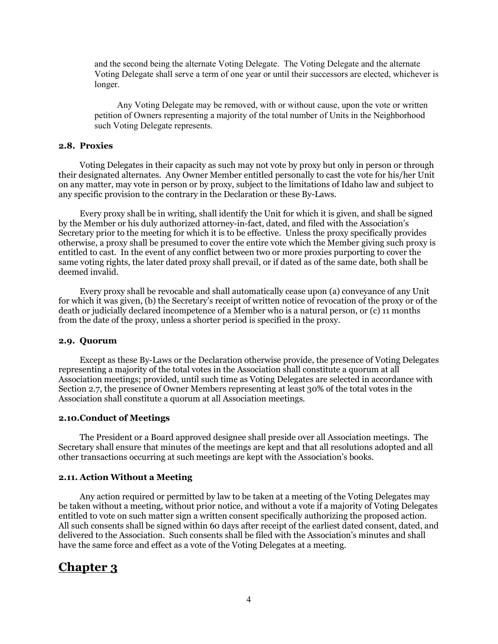and the second being the alternate Voting Delegate. The Voting Delegate and the alternate Voting Delegate shall serve a term of one year or until their successors are elected, whichever is longer.

 Any Voting Delegate may be removed, with or without cause, upon the vote or written petition of Owners representing a majority of the total number of Units in the Neighborhood such Voting Delegate represents.

#### **2.8. Proxies**

Voting Delegates in their capacity as such may not vote by proxy but only in person or through their designated alternates. Any Owner Member entitled personally to cast the vote for his/her Unit on any matter, may vote in person or by proxy, subject to the limitations of Idaho law and subject to any specific provision to the contrary in the Declaration or these By-Laws.

 Every proxy shall be in writing, shall identify the Unit for which it is given, and shall be signed by the Member or his duly authorized attorney-in-fact, dated, and filed with the Association's Secretary prior to the meeting for which it is to be effective. Unless the proxy specifically provides otherwise, a proxy shall be presumed to cover the entire vote which the Member giving such proxy is entitled to cast. In the event of any conflict between two or more proxies purporting to cover the same voting rights, the later dated proxy shall prevail, or if dated as of the same date, both shall be deemed invalid.

 Every proxy shall be revocable and shall automatically cease upon (a) conveyance of any Unit for which it was given, (b) the Secretary's receipt of written notice of revocation of the proxy or of the death or judicially declared incompetence of a Member who is a natural person, or (c) 11 months from the date of the proxy, unless a shorter period is specified in the proxy.

#### **2.9. Quorum**

 Except as these By-Laws or the Declaration otherwise provide, the presence of Voting Delegates representing a majority of the total votes in the Association shall constitute a quorum at all Association meetings; provided, until such time as Voting Delegates are selected in accordance with Section 2.7, the presence of Owner Members representing at least 30% of the total votes in the Association shall constitute a quorum at all Association meetings.

#### **2.10.Conduct of Meetings**

The President or a Board approved designee shall preside over all Association meetings. The Secretary shall ensure that minutes of the meetings are kept and that all resolutions adopted and all other transactions occurring at such meetings are kept with the Association's books.

#### **2.11. Action Without a Meeting**

 Any action required or permitted by law to be taken at a meeting of the Voting Delegates may be taken without a meeting, without prior notice, and without a vote if a majority of Voting Delegates entitled to vote on such matter sign a written consent specifically authorizing the proposed action. All such consents shall be signed within 60 days after receipt of the earliest dated consent, dated, and delivered to the Association. Such consents shall be filed with the Association's minutes and shall have the same force and effect as a vote of the Voting Delegates at a meeting.

# **Chapter 3**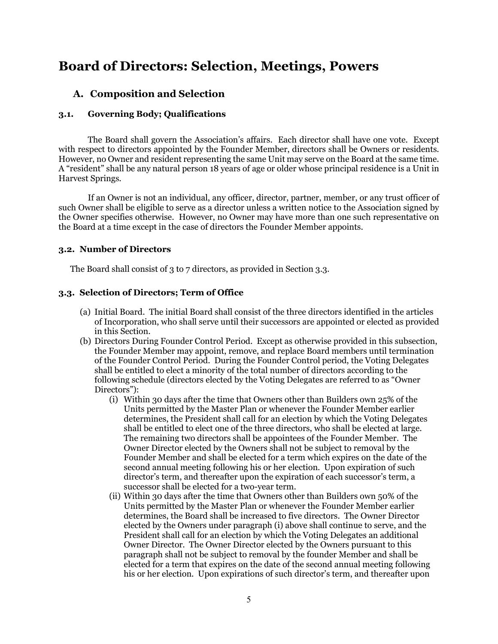# **Board of Directors: Selection, Meetings, Powers**

# **A. Composition and Selection**

## **3.1. Governing Body; Qualifications**

The Board shall govern the Association's affairs. Each director shall have one vote. Except with respect to directors appointed by the Founder Member, directors shall be Owners or residents. However, no Owner and resident representing the same Unit may serve on the Board at the same time. A "resident" shall be any natural person 18 years of age or older whose principal residence is a Unit in Harvest Springs.

If an Owner is not an individual, any officer, director, partner, member, or any trust officer of such Owner shall be eligible to serve as a director unless a written notice to the Association signed by the Owner specifies otherwise. However, no Owner may have more than one such representative on the Board at a time except in the case of directors the Founder Member appoints.

### **3.2. Number of Directors**

The Board shall consist of 3 to 7 directors, as provided in Section 3.3.

### **3.3. Selection of Directors; Term of Office**

- (a) Initial Board. The initial Board shall consist of the three directors identified in the articles of Incorporation, who shall serve until their successors are appointed or elected as provided in this Section.
- (b) Directors During Founder Control Period. Except as otherwise provided in this subsection, the Founder Member may appoint, remove, and replace Board members until termination of the Founder Control Period. During the Founder Control period, the Voting Delegates shall be entitled to elect a minority of the total number of directors according to the following schedule (directors elected by the Voting Delegates are referred to as "Owner Directors"):
	- (i) Within 30 days after the time that Owners other than Builders own 25% of the Units permitted by the Master Plan or whenever the Founder Member earlier determines, the President shall call for an election by which the Voting Delegates shall be entitled to elect one of the three directors, who shall be elected at large. The remaining two directors shall be appointees of the Founder Member. The Owner Director elected by the Owners shall not be subject to removal by the Founder Member and shall be elected for a term which expires on the date of the second annual meeting following his or her election. Upon expiration of such director's term, and thereafter upon the expiration of each successor's term, a successor shall be elected for a two-year term.
	- (ii) Within 30 days after the time that Owners other than Builders own 50% of the Units permitted by the Master Plan or whenever the Founder Member earlier determines, the Board shall be increased to five directors. The Owner Director elected by the Owners under paragraph (i) above shall continue to serve, and the President shall call for an election by which the Voting Delegates an additional Owner Director. The Owner Director elected by the Owners pursuant to this paragraph shall not be subject to removal by the founder Member and shall be elected for a term that expires on the date of the second annual meeting following his or her election. Upon expirations of such director's term, and thereafter upon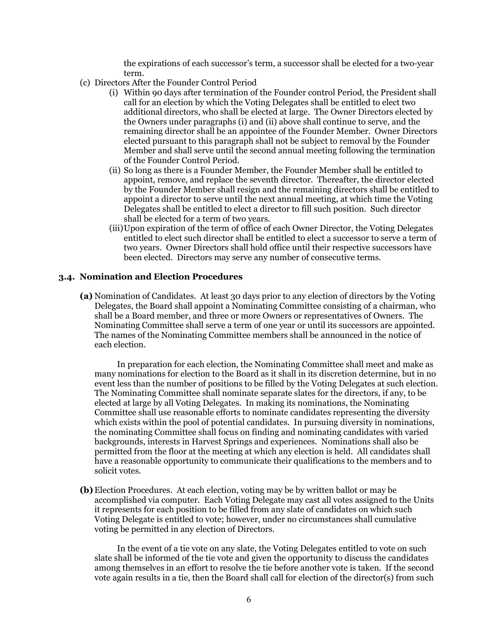the expirations of each successor's term, a successor shall be elected for a two-year term.

- (c) Directors After the Founder Control Period
	- (i) Within 90 days after termination of the Founder control Period, the President shall call for an election by which the Voting Delegates shall be entitled to elect two additional directors, who shall be elected at large. The Owner Directors elected by the Owners under paragraphs (i) and (ii) above shall continue to serve, and the remaining director shall be an appointee of the Founder Member. Owner Directors elected pursuant to this paragraph shall not be subject to removal by the Founder Member and shall serve until the second annual meeting following the termination of the Founder Control Period.
	- (ii) So long as there is a Founder Member, the Founder Member shall be entitled to appoint, remove, and replace the seventh director. Thereafter, the director elected by the Founder Member shall resign and the remaining directors shall be entitled to appoint a director to serve until the next annual meeting, at which time the Voting Delegates shall be entitled to elect a director to fill such position. Such director shall be elected for a term of two years.
	- (iii)Upon expiration of the term of office of each Owner Director, the Voting Delegates entitled to elect such director shall be entitled to elect a successor to serve a term of two years. Owner Directors shall hold office until their respective successors have been elected. Directors may serve any number of consecutive terms.

#### **3.4. Nomination and Election Procedures**

**(a)** Nomination of Candidates. At least 30 days prior to any election of directors by the Voting Delegates, the Board shall appoint a Nominating Committee consisting of a chairman, who shall be a Board member, and three or more Owners or representatives of Owners. The Nominating Committee shall serve a term of one year or until its successors are appointed. The names of the Nominating Committee members shall be announced in the notice of each election.

 In preparation for each election, the Nominating Committee shall meet and make as many nominations for election to the Board as it shall in its discretion determine, but in no event less than the number of positions to be filled by the Voting Delegates at such election. The Nominating Committee shall nominate separate slates for the directors, if any, to be elected at large by all Voting Delegates. In making its nominations, the Nominating Committee shall use reasonable efforts to nominate candidates representing the diversity which exists within the pool of potential candidates. In pursuing diversity in nominations, the nominating Committee shall focus on finding and nominating candidates with varied backgrounds, interests in Harvest Springs and experiences. Nominations shall also be permitted from the floor at the meeting at which any election is held. All candidates shall have a reasonable opportunity to communicate their qualifications to the members and to solicit votes.

**(b)** Election Procedures. At each election, voting may be by written ballot or may be accomplished via computer. Each Voting Delegate may cast all votes assigned to the Units it represents for each position to be filled from any slate of candidates on which such Voting Delegate is entitled to vote; however, under no circumstances shall cumulative voting be permitted in any election of Directors.

 In the event of a tie vote on any slate, the Voting Delegates entitled to vote on such slate shall be informed of the tie vote and given the opportunity to discuss the candidates among themselves in an effort to resolve the tie before another vote is taken. If the second vote again results in a tie, then the Board shall call for election of the director(s) from such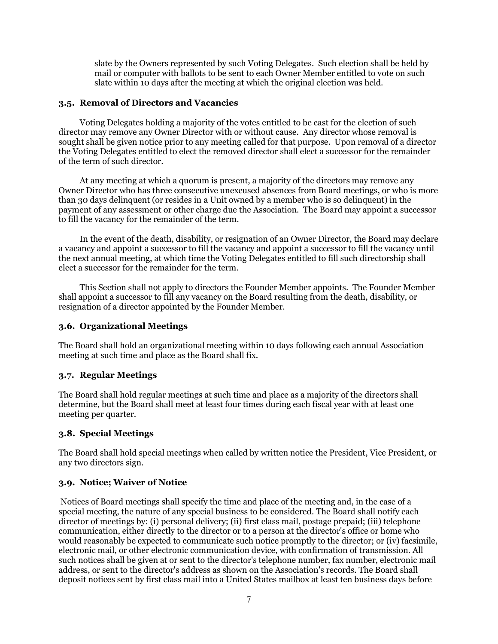slate by the Owners represented by such Voting Delegates. Such election shall be held by mail or computer with ballots to be sent to each Owner Member entitled to vote on such slate within 10 days after the meeting at which the original election was held.

### **3.5. Removal of Directors and Vacancies**

 Voting Delegates holding a majority of the votes entitled to be cast for the election of such director may remove any Owner Director with or without cause. Any director whose removal is sought shall be given notice prior to any meeting called for that purpose. Upon removal of a director the Voting Delegates entitled to elect the removed director shall elect a successor for the remainder of the term of such director.

 At any meeting at which a quorum is present, a majority of the directors may remove any Owner Director who has three consecutive unexcused absences from Board meetings, or who is more than 30 days delinquent (or resides in a Unit owned by a member who is so delinquent) in the payment of any assessment or other charge due the Association. The Board may appoint a successor to fill the vacancy for the remainder of the term.

 In the event of the death, disability, or resignation of an Owner Director, the Board may declare a vacancy and appoint a successor to fill the vacancy and appoint a successor to fill the vacancy until the next annual meeting, at which time the Voting Delegates entitled to fill such directorship shall elect a successor for the remainder for the term.

 This Section shall not apply to directors the Founder Member appoints. The Founder Member shall appoint a successor to fill any vacancy on the Board resulting from the death, disability, or resignation of a director appointed by the Founder Member.

## **3.6. Organizational Meetings**

The Board shall hold an organizational meeting within 10 days following each annual Association meeting at such time and place as the Board shall fix.

### **3.7. Regular Meetings**

The Board shall hold regular meetings at such time and place as a majority of the directors shall determine, but the Board shall meet at least four times during each fiscal year with at least one meeting per quarter.

# **3.8. Special Meetings**

The Board shall hold special meetings when called by written notice the President, Vice President, or any two directors sign.

### **3.9. Notice; Waiver of Notice**

 Notices of Board meetings shall specify the time and place of the meeting and, in the case of a special meeting, the nature of any special business to be considered. The Board shall notify each director of meetings by: (i) personal delivery; (ii) first class mail, postage prepaid; (iii) telephone communication, either directly to the director or to a person at the director's office or home who would reasonably be expected to communicate such notice promptly to the director; or (iv) facsimile, electronic mail, or other electronic communication device, with confirmation of transmission. All such notices shall be given at or sent to the director's telephone number, fax number, electronic mail address, or sent to the director's address as shown on the Association's records. The Board shall deposit notices sent by first class mail into a United States mailbox at least ten business days before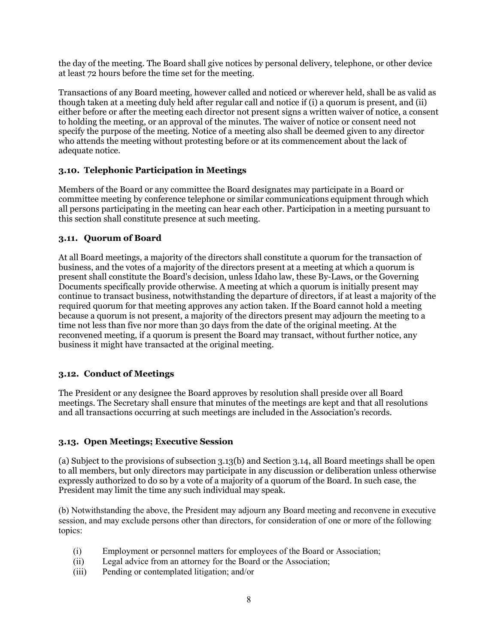the day of the meeting. The Board shall give notices by personal delivery, telephone, or other device at least 72 hours before the time set for the meeting.

Transactions of any Board meeting, however called and noticed or wherever held, shall be as valid as though taken at a meeting duly held after regular call and notice if (i) a quorum is present, and (ii) either before or after the meeting each director not present signs a written waiver of notice, a consent to holding the meeting, or an approval of the minutes. The waiver of notice or consent need not specify the purpose of the meeting. Notice of a meeting also shall be deemed given to any director who attends the meeting without protesting before or at its commencement about the lack of adequate notice.

# **3.10. Telephonic Participation in Meetings**

Members of the Board or any committee the Board designates may participate in a Board or committee meeting by conference telephone or similar communications equipment through which all persons participating in the meeting can hear each other. Participation in a meeting pursuant to this section shall constitute presence at such meeting.

### **3.11. Quorum of Board**

At all Board meetings, a majority of the directors shall constitute a quorum for the transaction of business, and the votes of a majority of the directors present at a meeting at which a quorum is present shall constitute the Board's decision, unless Idaho law, these By-Laws, or the Governing Documents specifically provide otherwise. A meeting at which a quorum is initially present may continue to transact business, notwithstanding the departure of directors, if at least a majority of the required quorum for that meeting approves any action taken. If the Board cannot hold a meeting because a quorum is not present, a majority of the directors present may adjourn the meeting to a time not less than five nor more than 30 days from the date of the original meeting. At the reconvened meeting, if a quorum is present the Board may transact, without further notice, any business it might have transacted at the original meeting.

# **3.12. Conduct of Meetings**

The President or any designee the Board approves by resolution shall preside over all Board meetings. The Secretary shall ensure that minutes of the meetings are kept and that all resolutions and all transactions occurring at such meetings are included in the Association's records.

### **3.13. Open Meetings; Executive Session**

(a) Subject to the provisions of subsection 3.13(b) and Section 3.14, all Board meetings shall be open to all members, but only directors may participate in any discussion or deliberation unless otherwise expressly authorized to do so by a vote of a majority of a quorum of the Board. In such case, the President may limit the time any such individual may speak.

(b) Notwithstanding the above, the President may adjourn any Board meeting and reconvene in executive session, and may exclude persons other than directors, for consideration of one or more of the following topics:

- (i) Employment or personnel matters for employees of the Board or Association;
- (ii) Legal advice from an attorney for the Board or the Association;
- (iii) Pending or contemplated litigation; and/or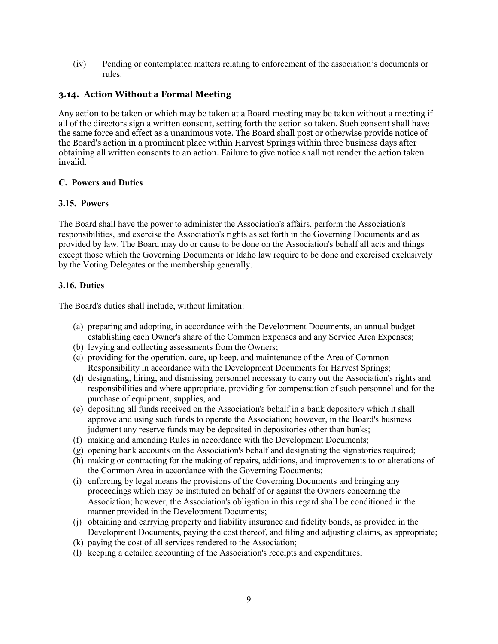(iv) Pending or contemplated matters relating to enforcement of the association's documents or rules.

## **3.14. Action Without a Formal Meeting**

Any action to be taken or which may be taken at a Board meeting may be taken without a meeting if all of the directors sign a written consent, setting forth the action so taken. Such consent shall have the same force and effect as a unanimous vote. The Board shall post or otherwise provide notice of the Board's action in a prominent place within Harvest Springs within three business days after obtaining all written consents to an action. Failure to give notice shall not render the action taken invalid.

#### **C. Powers and Duties**

### **3.15. Powers**

The Board shall have the power to administer the Association's affairs, perform the Association's responsibilities, and exercise the Association's rights as set forth in the Governing Documents and as provided by law. The Board may do or cause to be done on the Association's behalf all acts and things except those which the Governing Documents or Idaho law require to be done and exercised exclusively by the Voting Delegates or the membership generally.

#### **3.16. Duties**

The Board's duties shall include, without limitation:

- (a) preparing and adopting, in accordance with the Development Documents, an annual budget establishing each Owner's share of the Common Expenses and any Service Area Expenses;
- (b) levying and collecting assessments from the Owners;
- (c) providing for the operation, care, up keep, and maintenance of the Area of Common Responsibility in accordance with the Development Documents for Harvest Springs;
- (d) designating, hiring, and dismissing personnel necessary to carry out the Association's rights and responsibilities and where appropriate, providing for compensation of such personnel and for the purchase of equipment, supplies, and
- (e) depositing all funds received on the Association's behalf in a bank depository which it shall approve and using such funds to operate the Association; however, in the Board's business judgment any reserve funds may be deposited in depositories other than banks;
- (f) making and amending Rules in accordance with the Development Documents;
- (g) opening bank accounts on the Association's behalf and designating the signatories required;
- (h) making or contracting for the making of repairs, additions, and improvements to or alterations of the Common Area in accordance with the Governing Documents;
- (i) enforcing by legal means the provisions of the Governing Documents and bringing any proceedings which may be instituted on behalf of or against the Owners concerning the Association; however, the Association's obligation in this regard shall be conditioned in the manner provided in the Development Documents;
- (j) obtaining and carrying property and liability insurance and fidelity bonds, as provided in the Development Documents, paying the cost thereof, and filing and adjusting claims, as appropriate;
- (k) paying the cost of all services rendered to the Association;
- (l) keeping a detailed accounting of the Association's receipts and expenditures;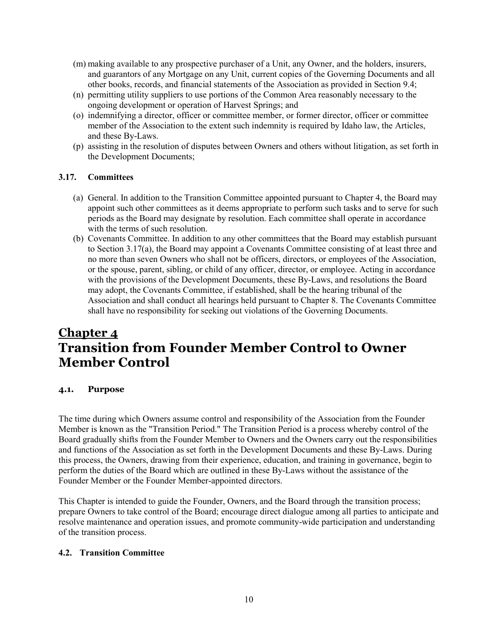- (m) making available to any prospective purchaser of a Unit, any Owner, and the holders, insurers, and guarantors of any Mortgage on any Unit, current copies of the Governing Documents and all other books, records, and financial statements of the Association as provided in Section 9.4;
- (n) permitting utility suppliers to use portions of the Common Area reasonably necessary to the ongoing development or operation of Harvest Springs; and
- (o) indemnifying a director, officer or committee member, or former director, officer or committee member of the Association to the extent such indemnity is required by Idaho law, the Articles, and these By-Laws.
- (p) assisting in the resolution of disputes between Owners and others without litigation, as set forth in the Development Documents;

### **3.17. Committees**

- (a) General. In addition to the Transition Committee appointed pursuant to Chapter 4, the Board may appoint such other committees as it deems appropriate to perform such tasks and to serve for such periods as the Board may designate by resolution. Each committee shall operate in accordance with the terms of such resolution.
- (b) Covenants Committee. In addition to any other committees that the Board may establish pursuant to Section 3.17(a), the Board may appoint a Covenants Committee consisting of at least three and no more than seven Owners who shall not be officers, directors, or employees of the Association, or the spouse, parent, sibling, or child of any officer, director, or employee. Acting in accordance with the provisions of the Development Documents, these By-Laws, and resolutions the Board may adopt, the Covenants Committee, if established, shall be the hearing tribunal of the Association and shall conduct all hearings held pursuant to Chapter 8. The Covenants Committee shall have no responsibility for seeking out violations of the Governing Documents.

# **Chapter 4 Transition from Founder Member Control to Owner Member Control**

### **4.1. Purpose**

The time during which Owners assume control and responsibility of the Association from the Founder Member is known as the "Transition Period." The Transition Period is a process whereby control of the Board gradually shifts from the Founder Member to Owners and the Owners carry out the responsibilities and functions of the Association as set forth in the Development Documents and these By-Laws. During this process, the Owners, drawing from their experience, education, and training in governance, begin to perform the duties of the Board which are outlined in these By-Laws without the assistance of the Founder Member or the Founder Member-appointed directors.

This Chapter is intended to guide the Founder, Owners, and the Board through the transition process; prepare Owners to take control of the Board; encourage direct dialogue among all parties to anticipate and resolve maintenance and operation issues, and promote community-wide participation and understanding of the transition process.

### **4.2. Transition Committee**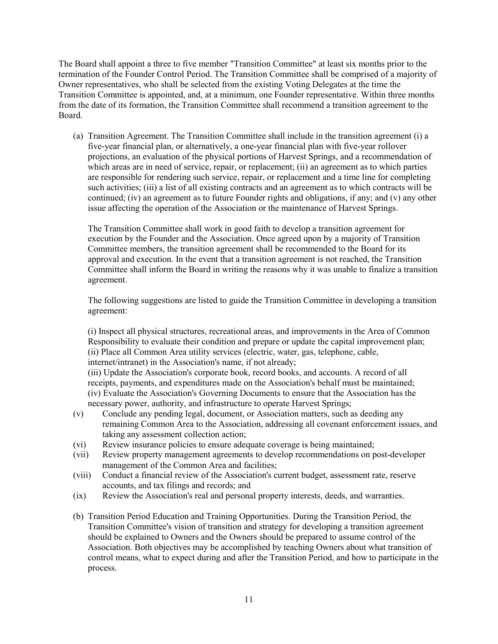The Board shall appoint a three to five member "Transition Committee" at least six months prior to the termination of the Founder Control Period. The Transition Committee shall be comprised of a majority of Owner representatives, who shall be selected from the existing Voting Delegates at the time the Transition Committee is appointed, and, at a minimum, one Founder representative. Within three months from the date of its formation, the Transition Committee shall recommend a transition agreement to the Board.

(a) Transition Agreement. The Transition Committee shall include in the transition agreement (i) a five-year financial plan, or alternatively, a one-year financial plan with five-year rollover projections, an evaluation of the physical portions of Harvest Springs, and a recommendation of which areas are in need of service, repair, or replacement; (ii) an agreement as to which parties are responsible for rendering such service, repair, or replacement and a time line for completing such activities; (iii) a list of all existing contracts and an agreement as to which contracts will be continued; (iv) an agreement as to future Founder rights and obligations, if any; and (v) any other issue affecting the operation of the Association or the maintenance of Harvest Springs.

The Transition Committee shall work in good faith to develop a transition agreement for execution by the Founder and the Association. Once agreed upon by a majority of Transition Committee members, the transition agreement shall be recommended to the Board for its approval and execution. In the event that a transition agreement is not reached, the Transition Committee shall inform the Board in writing the reasons why it was unable to finalize a transition agreement.

The following suggestions are listed to guide the Transition Committee in developing a transition agreement:

(i) Inspect all physical structures, recreational areas, and improvements in the Area of Common Responsibility to evaluate their condition and prepare or update the capital improvement plan; (ii) Place all Common Area utility services (electric, water, gas, telephone, cable, internet/intranet) in the Association's name, if not already; (iii) Update the Association's corporate book, record books, and accounts. A record of all receipts, payments, and expenditures made on the Association's behalf must be maintained;

(iv) Evaluate the Association's Governing Documents to ensure that the Association has the necessary power, authority, and infrastructure to operate Harvest Springs;

- (v) Conclude any pending legal, document, or Association matters, such as deeding any remaining Common Area to the Association, addressing all covenant enforcement issues, and taking any assessment collection action;
- (vi) Review insurance policies to ensure adequate coverage is being maintained;
- (vii) Review property management agreements to develop recommendations on post-developer management of the Common Area and facilities;
- (viii) Conduct a financial review of the Association's current budget, assessment rate, reserve accounts, and tax filings and records; and
- (ix) Review the Association's real and personal property interests, deeds, and warranties.
- (b) Transition Period Education and Training Opportunities. During the Transition Period, the Transition Committee's vision of transition and strategy for developing a transition agreement should be explained to Owners and the Owners should be prepared to assume control of the Association. Both objectives may be accomplished by teaching Owners about what transition of control means, what to expect during and after the Transition Period, and how to participate in the process.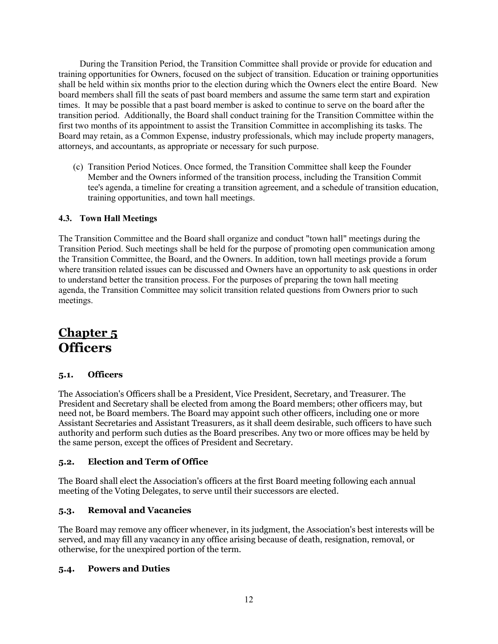During the Transition Period, the Transition Committee shall provide or provide for education and training opportunities for Owners, focused on the subject of transition. Education or training opportunities shall be held within six months prior to the election during which the Owners elect the entire Board. New board members shall fill the seats of past board members and assume the same term start and expiration times. It may be possible that a past board member is asked to continue to serve on the board after the transition period. Additionally, the Board shall conduct training for the Transition Committee within the first two months of its appointment to assist the Transition Committee in accomplishing its tasks. The Board may retain, as a Common Expense, industry professionals, which may include property managers, attorneys, and accountants, as appropriate or necessary for such purpose.

(c) Transition Period Notices. Once formed, the Transition Committee shall keep the Founder Member and the Owners informed of the transition process, including the Transition Commit tee's agenda, a timeline for creating a transition agreement, and a schedule of transition education, training opportunities, and town hall meetings.

## **4.3. Town Hall Meetings**

The Transition Committee and the Board shall organize and conduct "town hall" meetings during the Transition Period. Such meetings shall be held for the purpose of promoting open communication among the Transition Committee, the Board, and the Owners. In addition, town hall meetings provide a forum where transition related issues can be discussed and Owners have an opportunity to ask questions in order to understand better the transition process. For the purposes of preparing the town hall meeting agenda, the Transition Committee may solicit transition related questions from Owners prior to such meetings.

# **Chapter 5 Officers**

## **5.1. Officers**

The Association's Officers shall be a President, Vice President, Secretary, and Treasurer. The President and Secretary shall be elected from among the Board members; other officers may, but need not, be Board members. The Board may appoint such other officers, including one or more Assistant Secretaries and Assistant Treasurers, as it shall deem desirable, such officers to have such authority and perform such duties as the Board prescribes. Any two or more offices may be held by the same person, except the offices of President and Secretary.

### **5.2. Election and Term of Office**

The Board shall elect the Association's officers at the first Board meeting following each annual meeting of the Voting Delegates, to serve until their successors are elected.

### **5.3. Removal and Vacancies**

The Board may remove any officer whenever, in its judgment, the Association's best interests will be served, and may fill any vacancy in any office arising because of death, resignation, removal, or otherwise, for the unexpired portion of the term.

### **5.4. Powers and Duties**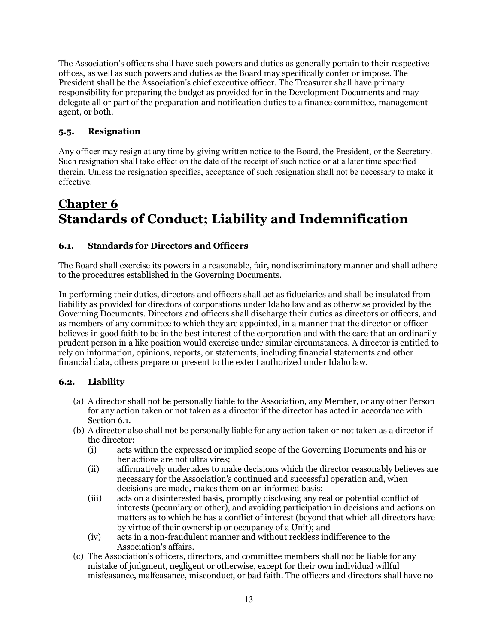The Association's officers shall have such powers and duties as generally pertain to their respective offices, as well as such powers and duties as the Board may specifically confer or impose. The President shall be the Association's chief executive officer. The Treasurer shall have primary responsibility for preparing the budget as provided for in the Development Documents and may delegate all or part of the preparation and notification duties to a finance committee, management agent, or both.

# **5.5. Resignation**

Any officer may resign at any time by giving written notice to the Board, the President, or the Secretary. Such resignation shall take effect on the date of the receipt of such notice or at a later time specified therein. Unless the resignation specifies, acceptance of such resignation shall not be necessary to make it effective.

# **Chapter 6 Standards of Conduct; Liability and Indemnification**

# **6.1. Standards for Directors and Officers**

The Board shall exercise its powers in a reasonable, fair, nondiscriminatory manner and shall adhere to the procedures established in the Governing Documents.

In performing their duties, directors and officers shall act as fiduciaries and shall be insulated from liability as provided for directors of corporations under Idaho law and as otherwise provided by the Governing Documents. Directors and officers shall discharge their duties as directors or officers, and as members of any committee to which they are appointed, in a manner that the director or officer believes in good faith to be in the best interest of the corporation and with the care that an ordinarily prudent person in a like position would exercise under similar circumstances. A director is entitled to rely on information, opinions, reports, or statements, including financial statements and other financial data, others prepare or present to the extent authorized under Idaho law.

# **6.2. Liability**

- (a) A director shall not be personally liable to the Association, any Member, or any other Person for any action taken or not taken as a director if the director has acted in accordance with Section 6.1.
- (b) A director also shall not be personally liable for any action taken or not taken as a director if the director:
	- (i) acts within the expressed or implied scope of the Governing Documents and his or her actions are not ultra vires;
	- (ii) affirmatively undertakes to make decisions which the director reasonably believes are necessary for the Association's continued and successful operation and, when decisions are made, makes them on an informed basis;
	- (iii) acts on a disinterested basis, promptly disclosing any real or potential conflict of interests (pecuniary or other), and avoiding participation in decisions and actions on matters as to which he has a conflict of interest (beyond that which all directors have by virtue of their ownership or occupancy of a Unit); and
	- (iv) acts in a non-fraudulent manner and without reckless indifference to the Association's affairs.
- (c) The Association's officers, directors, and committee members shall not be liable for any mistake of judgment, negligent or otherwise, except for their own individual willful misfeasance, malfeasance, misconduct, or bad faith. The officers and directors shall have no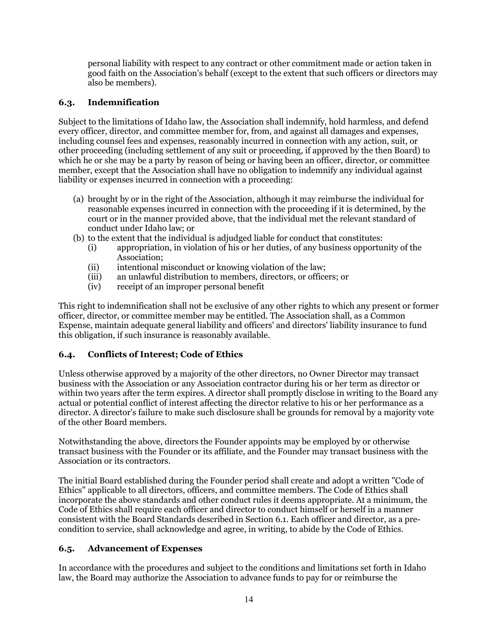personal liability with respect to any contract or other commitment made or action taken in good faith on the Association's behalf (except to the extent that such officers or directors may also be members).

## **6.3. Indemnification**

Subject to the limitations of Idaho law, the Association shall indemnify, hold harmless, and defend every officer, director, and committee member for, from, and against all damages and expenses, including counsel fees and expenses, reasonably incurred in connection with any action, suit, or other proceeding (including settlement of any suit or proceeding, if approved by the then Board) to which he or she may be a party by reason of being or having been an officer, director, or committee member, except that the Association shall have no obligation to indemnify any individual against liability or expenses incurred in connection with a proceeding:

- (a) brought by or in the right of the Association, although it may reimburse the individual for reasonable expenses incurred in connection with the proceeding if it is determined, by the court or in the manner provided above, that the individual met the relevant standard of conduct under Idaho law; or
- (b) to the extent that the individual is adjudged liable for conduct that constitutes:
	- (i) appropriation, in violation of his or her duties, of any business opportunity of the Association;
	- (ii) intentional misconduct or knowing violation of the law;
	- (iii) an unlawful distribution to members, directors, or officers; or
	- (iv) receipt of an improper personal benefit

This right to indemnification shall not be exclusive of any other rights to which any present or former officer, director, or committee member may be entitled. The Association shall, as a Common Expense, maintain adequate general liability and officers' and directors' liability insurance to fund this obligation, if such insurance is reasonably available.

# **6.4. Conflicts of Interest; Code of Ethics**

Unless otherwise approved by a majority of the other directors, no Owner Director may transact business with the Association or any Association contractor during his or her term as director or within two years after the term expires. A director shall promptly disclose in writing to the Board any actual or potential conflict of interest affecting the director relative to his or her performance as a director. A director's failure to make such disclosure shall be grounds for removal by a majority vote of the other Board members.

Notwithstanding the above, directors the Founder appoints may be employed by or otherwise transact business with the Founder or its affiliate, and the Founder may transact business with the Association or its contractors.

The initial Board established during the Founder period shall create and adopt a written "Code of Ethics" applicable to all directors, officers, and committee members. The Code of Ethics shall incorporate the above standards and other conduct rules it deems appropriate. At a minimum, the Code of Ethics shall require each officer and director to conduct himself or herself in a manner consistent with the Board Standards described in Section 6.1. Each officer and director, as a precondition to service, shall acknowledge and agree, in writing, to abide by the Code of Ethics.

# **6.5. Advancement of Expenses**

In accordance with the procedures and subject to the conditions and limitations set forth in Idaho law, the Board may authorize the Association to advance funds to pay for or reimburse the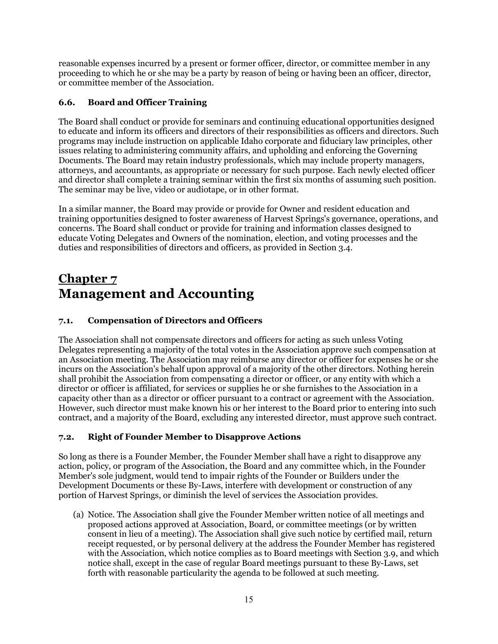reasonable expenses incurred by a present or former officer, director, or committee member in any proceeding to which he or she may be a party by reason of being or having been an officer, director, or committee member of the Association.

# **6.6. Board and Officer Training**

The Board shall conduct or provide for seminars and continuing educational opportunities designed to educate and inform its officers and directors of their responsibilities as officers and directors. Such programs may include instruction on applicable Idaho corporate and fiduciary law principles, other issues relating to administering community affairs, and upholding and enforcing the Governing Documents. The Board may retain industry professionals, which may include property managers, attorneys, and accountants, as appropriate or necessary for such purpose. Each newly elected officer and director shall complete a training seminar within the first six months of assuming such position. The seminar may be live, video or audiotape, or in other format.

In a similar manner, the Board may provide or provide for Owner and resident education and training opportunities designed to foster awareness of Harvest Springs's governance, operations, and concerns. The Board shall conduct or provide for training and information classes designed to educate Voting Delegates and Owners of the nomination, election, and voting processes and the duties and responsibilities of directors and officers, as provided in Section 3.4.

# **Chapter 7 Management and Accounting**

# **7.1. Compensation of Directors and Officers**

The Association shall not compensate directors and officers for acting as such unless Voting Delegates representing a majority of the total votes in the Association approve such compensation at an Association meeting. The Association may reimburse any director or officer for expenses he or she incurs on the Association's behalf upon approval of a majority of the other directors. Nothing herein shall prohibit the Association from compensating a director or officer, or any entity with which a director or officer is affiliated, for services or supplies he or she furnishes to the Association in a capacity other than as a director or officer pursuant to a contract or agreement with the Association. However, such director must make known his or her interest to the Board prior to entering into such contract, and a majority of the Board, excluding any interested director, must approve such contract.

# **7.2. Right of Founder Member to Disapprove Actions**

So long as there is a Founder Member, the Founder Member shall have a right to disapprove any action, policy, or program of the Association, the Board and any committee which, in the Founder Member's sole judgment, would tend to impair rights of the Founder or Builders under the Development Documents or these By-Laws, interfere with development or construction of any portion of Harvest Springs, or diminish the level of services the Association provides.

(a) Notice. The Association shall give the Founder Member written notice of all meetings and proposed actions approved at Association, Board, or committee meetings (or by written consent in lieu of a meeting). The Association shall give such notice by certified mail, return receipt requested, or by personal delivery at the address the Founder Member has registered with the Association, which notice complies as to Board meetings with Section 3.9, and which notice shall, except in the case of regular Board meetings pursuant to these By-Laws, set forth with reasonable particularity the agenda to be followed at such meeting.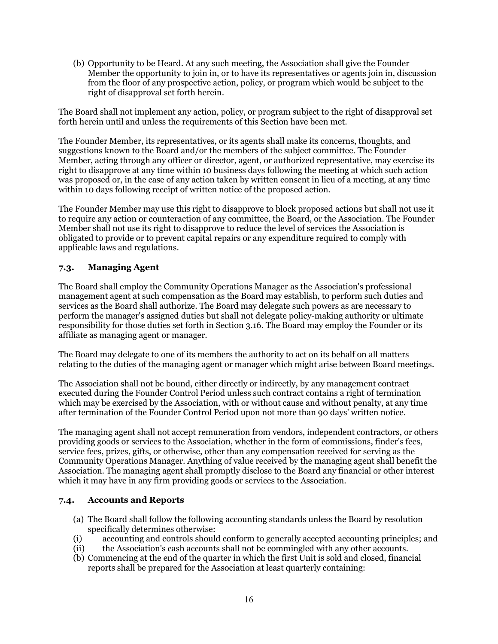(b) Opportunity to be Heard. At any such meeting, the Association shall give the Founder Member the opportunity to join in, or to have its representatives or agents join in, discussion from the floor of any prospective action, policy, or program which would be subject to the right of disapproval set forth herein.

The Board shall not implement any action, policy, or program subject to the right of disapproval set forth herein until and unless the requirements of this Section have been met.

The Founder Member, its representatives, or its agents shall make its concerns, thoughts, and suggestions known to the Board and/or the members of the subject committee. The Founder Member, acting through any officer or director, agent, or authorized representative, may exercise its right to disapprove at any time within 10 business days following the meeting at which such action was proposed or, in the case of any action taken by written consent in lieu of a meeting, at any time within 10 days following receipt of written notice of the proposed action.

The Founder Member may use this right to disapprove to block proposed actions but shall not use it to require any action or counteraction of any committee, the Board, or the Association. The Founder Member shall not use its right to disapprove to reduce the level of services the Association is obligated to provide or to prevent capital repairs or any expenditure required to comply with applicable laws and regulations.

# **7.3. Managing Agent**

The Board shall employ the Community Operations Manager as the Association's professional management agent at such compensation as the Board may establish, to perform such duties and services as the Board shall authorize. The Board may delegate such powers as are necessary to perform the manager's assigned duties but shall not delegate policy-making authority or ultimate responsibility for those duties set forth in Section 3.16. The Board may employ the Founder or its affiliate as managing agent or manager.

The Board may delegate to one of its members the authority to act on its behalf on all matters relating to the duties of the managing agent or manager which might arise between Board meetings.

The Association shall not be bound, either directly or indirectly, by any management contract executed during the Founder Control Period unless such contract contains a right of termination which may be exercised by the Association, with or without cause and without penalty, at any time after termination of the Founder Control Period upon not more than 90 days' written notice.

The managing agent shall not accept remuneration from vendors, independent contractors, or others providing goods or services to the Association, whether in the form of commissions, finder's fees, service fees, prizes, gifts, or otherwise, other than any compensation received for serving as the Community Operations Manager. Anything of value received by the managing agent shall benefit the Association. The managing agent shall promptly disclose to the Board any financial or other interest which it may have in any firm providing goods or services to the Association.

### **7.4. Accounts and Reports**

- (a) The Board shall follow the following accounting standards unless the Board by resolution specifically determines otherwise:
- (i) accounting and controls should conform to generally accepted accounting principles; and
- (ii) the Association's cash accounts shall not be commingled with any other accounts.
- (b) Commencing at the end of the quarter in which the first Unit is sold and closed, financial reports shall be prepared for the Association at least quarterly containing: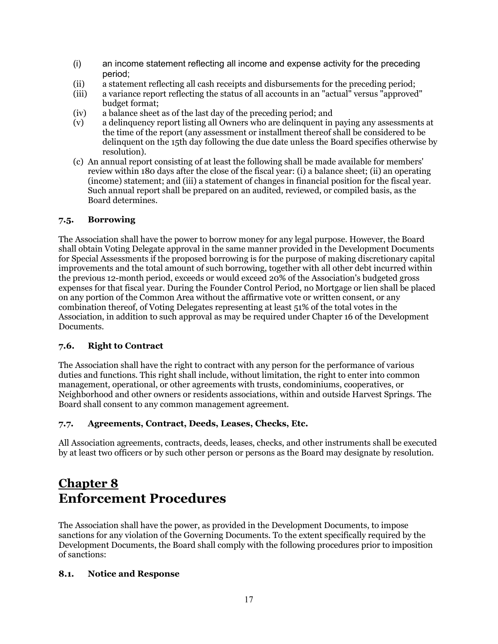- (i) an income statement reflecting all income and expense activity for the preceding period;
- (ii) a statement reflecting all cash receipts and disbursements for the preceding period;
- a variance report reflecting the status of all accounts in an "actual" versus "approved" budget format;
- (iv) a balance sheet as of the last day of the preceding period; and
- (v) a delinquency report listing all Owners who are delinquent in paying any assessments at the time of the report (any assessment or installment thereof shall be considered to be delinquent on the 15th day following the due date unless the Board specifies otherwise by resolution).
- (c) An annual report consisting of at least the following shall be made available for members' review within 180 days after the close of the fiscal year: (i) a balance sheet; (ii) an operating (income) statement; and (iii) a statement of changes in financial position for the fiscal year. Such annual report shall be prepared on an audited, reviewed, or compiled basis, as the Board determines.

# **7.5. Borrowing**

The Association shall have the power to borrow money for any legal purpose. However, the Board shall obtain Voting Delegate approval in the same manner provided in the Development Documents for Special Assessments if the proposed borrowing is for the purpose of making discretionary capital improvements and the total amount of such borrowing, together with all other debt incurred within the previous 12-month period, exceeds or would exceed 20% of the Association's budgeted gross expenses for that fiscal year. During the Founder Control Period, no Mortgage or lien shall be placed on any portion of the Common Area without the affirmative vote or written consent, or any combination thereof, of Voting Delegates representing at least 51% of the total votes in the Association, in addition to such approval as may be required under Chapter 16 of the Development Documents.

# **7.6. Right to Contract**

The Association shall have the right to contract with any person for the performance of various duties and functions. This right shall include, without limitation, the right to enter into common management, operational, or other agreements with trusts, condominiums, cooperatives, or Neighborhood and other owners or residents associations, within and outside Harvest Springs. The Board shall consent to any common management agreement.

# **7.7. Agreements, Contract, Deeds, Leases, Checks, Etc.**

All Association agreements, contracts, deeds, leases, checks, and other instruments shall be executed by at least two officers or by such other person or persons as the Board may designate by resolution.

# **Chapter 8 Enforcement Procedures**

The Association shall have the power, as provided in the Development Documents, to impose sanctions for any violation of the Governing Documents. To the extent specifically required by the Development Documents, the Board shall comply with the following procedures prior to imposition of sanctions:

### **8.1. Notice and Response**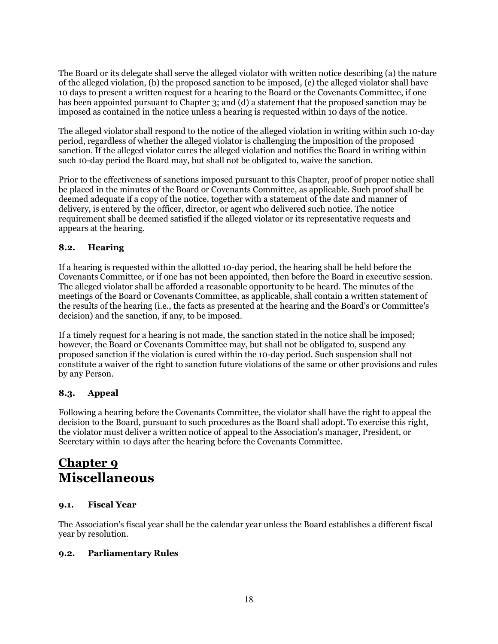The Board or its delegate shall serve the alleged violator with written notice describing (a) the nature of the alleged violation, (b) the proposed sanction to be imposed, (c) the alleged violator shall have 10 days to present a written request for a hearing to the Board or the Covenants Committee, if one has been appointed pursuant to Chapter 3; and (d) a statement that the proposed sanction may be imposed as contained in the notice unless a hearing is requested within 10 days of the notice.

The alleged violator shall respond to the notice of the alleged violation in writing within such 10-day period, regardless of whether the alleged violator is challenging the imposition of the proposed sanction. If the alleged violator cures the alleged violation and notifies the Board in writing within such 10-day period the Board may, but shall not be obligated to, waive the sanction.

Prior to the effectiveness of sanctions imposed pursuant to this Chapter, proof of proper notice shall be placed in the minutes of the Board or Covenants Committee, as applicable. Such proof shall be deemed adequate if a copy of the notice, together with a statement of the date and manner of delivery, is entered by the officer, director, or agent who delivered such notice. The notice requirement shall be deemed satisfied if the alleged violator or its representative requests and appears at the hearing.

# **8.2. Hearing**

If a hearing is requested within the allotted 10-day period, the hearing shall be held before the Covenants Committee, or if one has not been appointed, then before the Board in executive session. The alleged violator shall be afforded a reasonable opportunity to be heard. The minutes of the meetings of the Board or Covenants Committee, as applicable, shall contain a written statement of the results of the hearing (i.e., the facts as presented at the hearing and the Board's or Committee's decision) and the sanction, if any, to be imposed.

If a timely request for a hearing is not made, the sanction stated in the notice shall be imposed; however, the Board or Covenants Committee may, but shall not be obligated to, suspend any proposed sanction if the violation is cured within the 10-day period. Such suspension shall not constitute a waiver of the right to sanction future violations of the same or other provisions and rules by any Person.

# **8.3. Appeal**

Following a hearing before the Covenants Committee, the violator shall have the right to appeal the decision to the Board, pursuant to such procedures as the Board shall adopt. To exercise this right, the violator must deliver a written notice of appeal to the Association's manager, President, or Secretary within 10 days after the hearing before the Covenants Committee.

# **Chapter 9 Miscellaneous**

# **9.1. Fiscal Year**

The Association's fiscal year shall be the calendar year unless the Board establishes a different fiscal year by resolution.

# **9.2. Parliamentary Rules**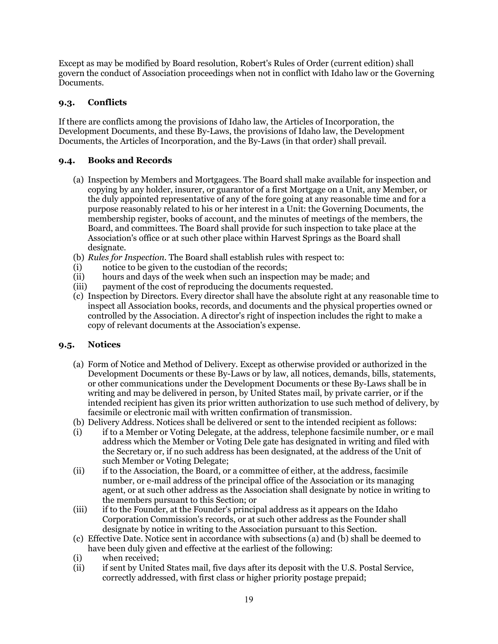Except as may be modified by Board resolution, Robert's Rules of Order (current edition) shall govern the conduct of Association proceedings when not in conflict with Idaho law or the Governing Documents.

## **9.3. Conflicts**

If there are conflicts among the provisions of Idaho law, the Articles of Incorporation, the Development Documents, and these By-Laws, the provisions of Idaho law, the Development Documents, the Articles of Incorporation, and the By-Laws (in that order) shall prevail.

## **9.4. Books and Records**

- (a) Inspection by Members and Mortgagees. The Board shall make available for inspection and copying by any holder, insurer, or guarantor of a first Mortgage on a Unit, any Member, or the duly appointed representative of any of the fore going at any reasonable time and for a purpose reasonably related to his or her interest in a Unit: the Governing Documents, the membership register, books of account, and the minutes of meetings of the members, the Board, and committees. The Board shall provide for such inspection to take place at the Association's office or at such other place within Harvest Springs as the Board shall designate.
- (b) *Rules for Inspection.* The Board shall establish rules with respect to:
- (i) notice to be given to the custodian of the records;
- (ii) hours and days of the week when such an inspection may be made; and
- (iii) payment of the cost of reproducing the documents requested.
- (c) Inspection by Directors. Every director shall have the absolute right at any reasonable time to inspect all Association books, records, and documents and the physical properties owned or controlled by the Association. A director's right of inspection includes the right to make a copy of relevant documents at the Association's expense.

### **9.5. Notices**

- (a) Form of Notice and Method of Delivery. Except as otherwise provided or authorized in the Development Documents or these By-Laws or by law, all notices, demands, bills, statements, or other communications under the Development Documents or these By-Laws shall be in writing and may be delivered in person, by United States mail, by private carrier, or if the intended recipient has given its prior written authorization to use such method of delivery, by facsimile or electronic mail with written confirmation of transmission.
- (b) Delivery Address. Notices shall be delivered or sent to the intended recipient as follows:
- (i) if to a Member or Voting Delegate, at the address, telephone facsimile number, or e mail address which the Member or Voting Dele gate has designated in writing and filed with the Secretary or, if no such address has been designated, at the address of the Unit of such Member or Voting Delegate;
- (ii) if to the Association, the Board, or a committee of either, at the address, facsimile number, or e-mail address of the principal office of the Association or its managing agent, or at such other address as the Association shall designate by notice in writing to the members pursuant to this Section; or
- (iii) if to the Founder, at the Founder's principal address as it appears on the Idaho Corporation Commission's records, or at such other address as the Founder shall designate by notice in writing to the Association pursuant to this Section.
- (c) Effective Date. Notice sent in accordance with subsections (a) and (b) shall be deemed to have been duly given and effective at the earliest of the following:
- (i) when received;<br>(ii) if sent by Unite
- if sent by United States mail, five days after its deposit with the U.S. Postal Service, correctly addressed, with first class or higher priority postage prepaid;